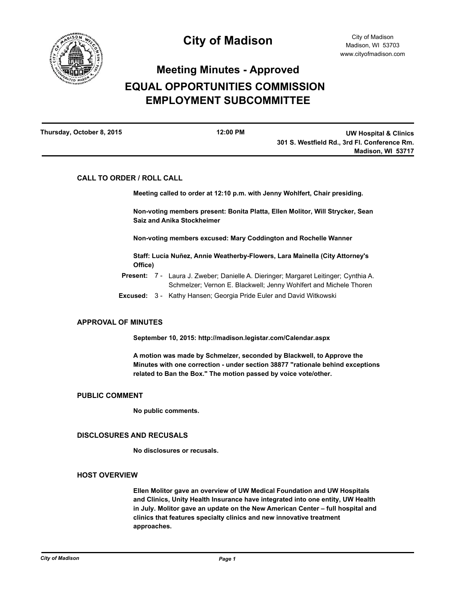

# **Meeting Minutes - Approved EQUAL OPPORTUNITIES COMMISSION EMPLOYMENT SUBCOMMITTEE**

| Thursday, October 8, 2015 | $12:00$ PM | <b>UW Hospital &amp; Clinics</b>             |
|---------------------------|------------|----------------------------------------------|
|                           |            | 301 S. Westfield Rd., 3rd Fl. Conference Rm. |
|                           |            | Madison, WI 53717                            |

# **CALL TO ORDER / ROLL CALL**

**Meeting called to order at 12:10 p.m. with Jenny Wohlfert, Chair presiding.**

**Non-voting members present: Bonita Platta, Ellen Molitor, Will Strycker, Sean Saiz and Anika Stockheimer**

**Non-voting members excused: Mary Coddington and Rochelle Wanner**

**Staff: Lucía Nuñez, Annie Weatherby-Flowers, Lara Mainella (City Attorney's Office)**

- Present: 7 Laura J. Zweber; Danielle A. Dieringer; Margaret Leitinger; Cynthia A. Schmelzer; Vernon E. Blackwell; Jenny Wohlfert and Michele Thoren
- **Excused:** 3 Kathy Hansen; Georgia Pride Euler and David Witkowski

## **APPROVAL OF MINUTES**

**September 10, 2015: http://madison.legistar.com/Calendar.aspx**

**A motion was made by Schmelzer, seconded by Blackwell, to Approve the Minutes with one correction - under section 38877 "rationale behind exceptions related to Ban the Box." The motion passed by voice vote/other.**

## **PUBLIC COMMENT**

**No public comments.**

#### **DISCLOSURES AND RECUSALS**

**No disclosures or recusals.**

#### **HOST OVERVIEW**

**Ellen Molitor gave an overview of UW Medical Foundation and UW Hospitals and Clinics, Unity Health Insurance have integrated into one entity, UW Health in July. Molitor gave an update on the New American Center – full hospital and clinics that features specialty clinics and new innovative treatment approaches.**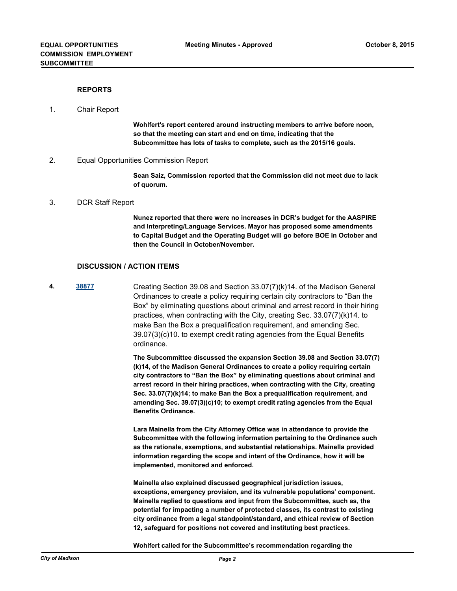## **REPORTS**

#### 1. Chair Report

**Wohlfert's report centered around instructing members to arrive before noon, so that the meeting can start and end on time, indicating that the Subcommittee has lots of tasks to complete, such as the 2015/16 goals.**

2. Equal Opportunities Commission Report

**Sean Saiz, Commission reported that the Commission did not meet due to lack of quorum.**

#### 3. DCR Staff Report

**Nunez reported that there were no increases in DCR's budget for the AASPIRE and Interpreting/Language Services. Mayor has proposed some amendments to Capital Budget and the Operating Budget will go before BOE in October and then the Council in October/November.**

#### **DISCUSSION / ACTION ITEMS**

**4. [38877](http://madison.legistar.com/gateway.aspx?m=l&id=/matter.aspx?key=41511)** Creating Section 39.08 and Section 33.07(7)(k)14. of the Madison General Ordinances to create a policy requiring certain city contractors to "Ban the Box" by eliminating questions about criminal and arrest record in their hiring practices, when contracting with the City, creating Sec. 33.07(7)(k)14. to make Ban the Box a prequalification requirement, and amending Sec. 39.07(3)(c)10. to exempt credit rating agencies from the Equal Benefits ordinance.

> **The Subcommittee discussed the expansion Section 39.08 and Section 33.07(7) (k)14, of the Madison General Ordinances to create a policy requiring certain city contractors to "Ban the Box" by eliminating questions about criminal and arrest record in their hiring practices, when contracting with the City, creating Sec. 33.07(7)(k)14; to make Ban the Box a prequalification requirement, and amending Sec. 39.07(3)(c)10; to exempt credit rating agencies from the Equal Benefits Ordinance.**

> **Lara Mainella from the City Attorney Office was in attendance to provide the Subcommittee with the following information pertaining to the Ordinance such as the rationale, exemptions, and substantial relationships. Mainella provided information regarding the scope and intent of the Ordinance, how it will be implemented, monitored and enforced.**

**Mainella also explained discussed geographical jurisdiction issues, exceptions, emergency provision, and its vulnerable populations' component. Mainella replied to questions and input from the Subcommittee, such as, the potential for impacting a number of protected classes, its contrast to existing city ordinance from a legal standpoint/standard, and ethical review of Section 12, safeguard for positions not covered and instituting best practices.**

**Wohlfert called for the Subcommittee's recommendation regarding the**